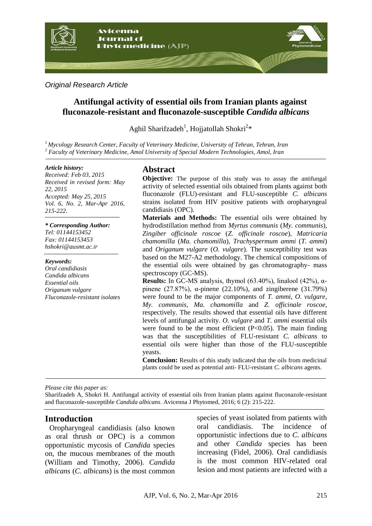

*Original Research Article*

# **Antifungal activity of essential oils from Iranian plants against fluconazole-resistant and fluconazole-susceptible** *Candida albicans*

Aghil Sharifzadeh<sup>1</sup>, Hojjatollah Shokri<sup>2\*</sup>

*<sup>1</sup>Mycology Research Center, Faculty of Veterinary Medicine, University of Tehran, Tehran, Iran <sup>2</sup> Faculty of Veterinary Medicine, Amol University of Special Modern Technologies, Amol, Iran*

#### *Article history:*

*Received: Feb 03, 2015 Received in revised form: May 22, 2015 Accepted: May 25, 2015 Vol. 6, No. 2, Mar-Apr 2016, 215-222.*

*\* Corresponding Author:*

*Tel: 01144153452 Fax: 01144153453 hshokri@ausmt.ac.ir*

#### *Keywords:*

*Oral candidiasis Candida albicans Essential oils Origanum vulgare Fluconazole-resistant isolates*

# **Abstract**

**Objective:** The purpose of this study was to assay the antifungal activity of selected essential oils obtained from plants against both fluconazole (FLU)-resistant and FLU-susceptible *C. albicans* strains isolated from HIV positive patients with oropharyngeal candidiasis (OPC).

**Materials and Methods:** The essential oils were obtained by hydrodistillation method from *Myrtus communis* (*My. communis*), *Zingiber officinale roscoe* (*Z. officinale roscoe*), *Matricaria chamomilla* (*Ma. chamomilla*), *Trachyspermum ammi* (*T. ammi*) and *Origanum vulgare* (*O. vulgare*). The susceptibility test was based on the M27-A2 methodology. The chemical compositions of the essential oils were obtained by gas chromatography- mass spectroscopy (GC-MS).

**Results:** In GC-MS analysis, thymol (63.40%), linalool (42%), αpinene  $(27.87%)$ , α-pinene  $(22.10%)$ , and zingiberene  $(31.79%)$ were found to be the major components of *T. ammi*, *O. vulgare*, *My. communis*, *Ma. chamomilla* and *Z. officinale roscoe*, respectively. The results showed that essential oils have different levels of antifungal activity. *O. vulgare* and *T. ammi* essential oils were found to be the most efficient  $(P<0.05)$ . The main finding was that the susceptibilities of FLU-resistant *C. albicans* to essential oils were higher than those of the FLU-susceptible yeasts.

**Conclusion:** Results of this study indicated that the oils from medicinal plants could be used as potential anti- FLU-resistant *C. albicans* agents.

*Please cite this paper as:* 

Sharifzadeh A, Shokri H. Antifungal activity of essential oils from Iranian plants against fluconazole-resistant and fluconazole-susceptible *Candida albicans*. Avicenna J Phytomed, 2016; 6 (2): 215-222.

#### **Introduction**

Oropharyngeal candidiasis (also known as oral thrush or OPC) is a common opportunistic mycosis of *Candida* species on, the mucous membranes of the mouth (William and Timothy, 2006). *Candida albicans* (*C. albicans*) is the most common species of yeast isolated from patients with oral candidiasis. The incidence of opportunistic infections due to *C. albicans* and other *Candida* species has been increasing (Fidel, 2006). Oral candidiasis is the most common HIV-related oral lesion and most patients are infected with a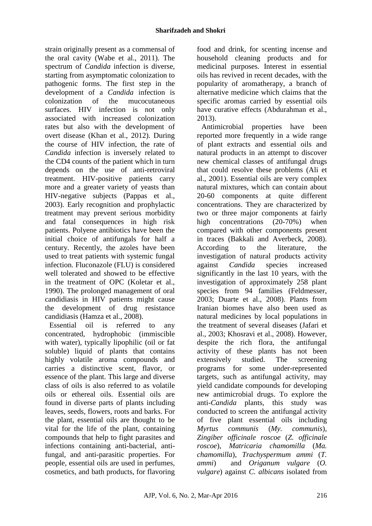strain originally present as a commensal of the oral cavity (Wabe et al., 2011). The spectrum of *Candida* infection is diverse, starting from asymptomatic colonization to pathogenic forms. The first step in the development of a *Candida* infection is colonization of the mucocutaneous surfaces. HIV infection is not only associated with increased colonization rates but also with the development of overt disease (Khan et al., 2012). During the course of HIV infection, the rate of *Candida* infection is inversely related to the CD4 counts of the patient which in turn depends on the use of anti-retroviral treatment. HIV-positive patients carry more and a greater variety of yeasts than HIV-negative subjects (Pappas et al., 2003). Early recognition and prophylactic treatment may prevent serious morbidity and fatal consequences in high risk patients. Polyene antibiotics have been the initial choice of antifungals for half a century. Recently, the azoles have been used to treat patients with systemic fungal infection. Fluconazole (FLU) is considered well tolerated and showed to be effective in the treatment of OPC (Koletar et al., 1990). The prolonged management of oral candidiasis in HIV patients might cause the development of drug resistance candidiasis (Hamza et al., 2008).

Essential oil is referred to any concentrated, hydrophobic (immiscible with water), typically lipophilic (oil or fat soluble) liquid of plants that contains highly volatile aroma compounds and carries a distinctive scent, flavor, or essence of the plant. This large and diverse class of oils is also referred to as volatile oils or ethereal oils. Essential oils are found in diverse parts of plants including leaves, seeds, flowers, roots and barks. For the plant, essential oils are thought to be vital for the life of the plant, containing compounds that help to fight parasites and infections containing anti-bacterial, antifungal, and anti-parasitic properties. For people, essential oils are used in perfumes, cosmetics, and bath products, for flavoring food and drink, for scenting incense and household cleaning products and for medicinal purposes. Interest in essential oils has revived in recent decades, with the popularity of aromatherapy, a branch of alternative medicine which claims that the specific aromas carried by essential oils have curative effects (Abdurahman et al., 2013).

Antimicrobial properties have been reported more frequently in a wide range of plant extracts and essential oils and natural products in an attempt to discover new chemical classes of antifungal drugs that could resolve these problems (Ali et al., 2001). Essential oils are very complex natural mixtures, which can contain about 20-60 components at quite different concentrations. They are characterized by two or three major components at fairly high concentrations (20-70%) when compared with other components present in traces (Bakkali and Averbeck, 2008). According to the literature, the investigation of natural products activity against *Candida* species increased significantly in the last 10 years, with the investigation of approximately 258 plant species from 94 families (Feldmesser, 2003; Duarte et al., 2008). Plants from Iranian biomes have also been used as natural medicines by local populations in the treatment of several diseases (Jafari et al., 2003; Khosravi et al., 2008). However, despite the rich flora, the antifungal activity of these plants has not been extensively studied. The screening programs for some under-represented targets, such as antifungal activity, may yield candidate compounds for developing new antimicrobial drugs. To explore the anti-*Candida* plants, this study was conducted to screen the antifungal activity of five plant essential oils including *Myrtus communis* (*My. communis*), *Zingiber officinale roscoe* (*Z. officinale roscoe*), *Matricaria chamomilla* (*Ma. chamomilla*), *Trachyspermum ammi* (*T. ammi*) and *Origanum vulgare* (*O. vulgare*) against *C. albicans* isolated from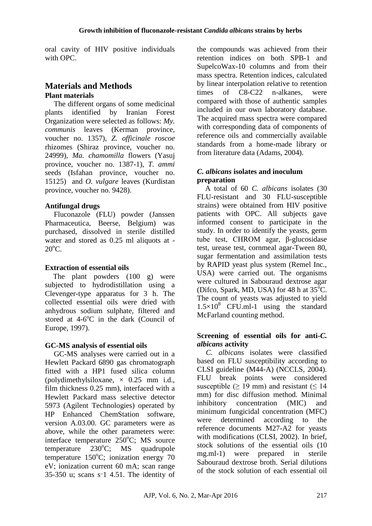oral cavity of HIV positive individuals with OPC.

# **Materials and Methods Plant materials**

The different organs of some medicinal plants identified by Iranian Forest Organization were selected as follows: *My. communis* leaves (Kerman province, voucher no. 1357), *Z. officinale roscoe* rhizomes (Shiraz province, voucher no. 24999), *Ma. chamomilla* flowers (Yasuj province, voucher no. 1387-1), *T. ammi* seeds (Isfahan province, voucher no. 15125) and *O. vulgare* leaves (Kurdistan province, voucher no. 9428).

### **Antifungal drugs**

Fluconazole (FLU) powder (Janssen Pharmaceutica, Beerse, Belgium) was purchased, dissolved in sterile distilled water and stored as 0.25 ml aliquots at -  $20^{\circ}$ C.

#### **Extraction of essential oils**

 The plant powders (100 g) were subjected to hydrodistillation using a Clevenger-type apparatus for 3 h. The collected essential oils were dried with anhydrous sodium sulphate, filtered and stored at 4-6°C in the dark (Council of Europe, 1997).

#### **GC-MS analysis of essential oils**

GC-MS analyses were carried out in a Hewlett Packard 6890 gas chromatograph fitted with a HP1 fused silica column (polydimethylsiloxane,  $\times$  0.25 mm i.d., film thickness 0.25 mm), interfaced with a Hewlett Packard mass selective detector 5973 (Agilent Technologies) operated by HP Enhanced ChemStation software, version A.03.00. GC parameters were as above, while the other parameters were: interface temperature  $250^{\circ}$ C; MS source temperature  $230^{\circ}$ C; MS quadrupole temperature  $150^{\circ}$ C; ionization energy 70 eV; ionization current 60 mA; scan range 35-350 u; scans s\_ 1 4.51. The identity of the compounds was achieved from their retention indices on both SPB-1 and SupelcoWax-10 columns and from their mass spectra. Retention indices, calculated by linear interpolation relative to retention times of C8-C22 n-alkanes, were compared with those of authentic samples included in our own laboratory database. The acquired mass spectra were compared with corresponding data of components of reference oils and commercially available standards from a home-made library or from literature data (Adams, 2004).

### *C. albicans* **isolates and inoculum preparation**

 A total of 60 *C. albicans* isolates (30 FLU-resistant and 30 FLU-susceptible strains) were obtained from HIV positive patients with OPC. All subjects gave informed consent to participate in the study. In order to identify the yeasts, germ tube test, CHROM agar, β-glucosidase test, urease test, cornmeal agar-Tween 80, sugar fermentation and assimilation tests by RAPID yeast plus system (Remel Inc., USA) were carried out. The organisms were cultured in Sabouraud dextrose agar (Difco, Spark, MD, USA) for 48 h at  $35^{\circ}$ C. The count of yeasts was adjusted to yield  $1.5 \times 10^8$  CFU.ml-1 using the standard McFarland counting method.

#### **Screening of essential oils for anti-***C. albicans* **activity**

*C. albicans* isolates were classified based on FLU susceptibility according to CLSI guideline (M44-A) (NCCLS, 2004). FLU break points were considered susceptible ( $> 19$  mm) and resistant ( $< 14$ ) mm) for disc diffusion method. Minimal inhibitory concentration (MIC) and minimum fungicidal concentration (MFC) were determined according to the reference documents M27-A2 for yeasts with modifications (CLSI, 2002). In brief, stock solutions of the essential oils (10 mg.ml-1) were prepared in sterile Sabouraud dextrose broth. Serial dilutions of the stock solution of each essential oil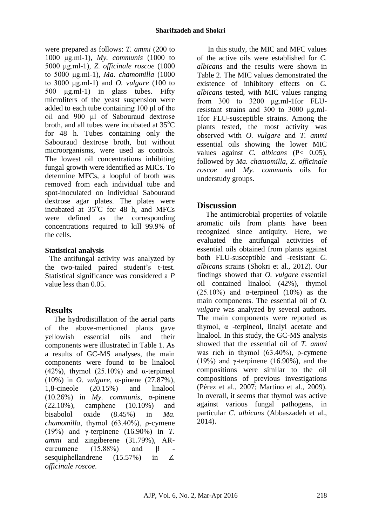were prepared as follows: *T. ammi* (200 to 1000 μg.ml-1), *My. communis* (1000 to 5000 μg.ml-1), *Z. officinale roscoe* (1000 to 5000 μg.ml-1), *Ma. chamomilla* (1000 to 3000 μg.ml-1) and *O. vulgare* (100 to 500 μg.ml-1) in glass tubes. Fifty microliters of the yeast suspension were added to each tube containing 100 μl of the oil and 900 μl of Sabouraud dextrose broth, and all tubes were incubated at  $35^{\circ}$ C for 48 h. Tubes containing only the Sabouraud dextrose broth, but without microorganisms, were used as controls. The lowest oil concentrations inhibiting fungal growth were identified as MICs. To determine MFCs, a loopful of broth was removed from each individual tube and spot-inoculated on individual Sabouraud dextrose agar plates. The plates were incubated at  $35^{\circ}$ C for 48 h, and MFCs were defined as the corresponding concentrations required to kill 99.9% of the cells.

#### **Statistical analysis**

The antifungal activity was analyzed by the two-tailed paired student's t-test. Statistical significance was considered a *P* value less than 0.05.

# **Results**

The hydrodistillation of the aerial parts of the above-mentioned plants gave yellowish essential oils and their components were illustrated in Table 1. As a results of GC-MS analyses, the main components were found to be linalool (42%), thymol (25.10%) and  $\alpha$ -terpineol (10%) in *O. vulgare*, α-pinene (27.87%), 1,8-cineole (20.15%) and linalool (10.26%) in *My. communis*, α-pinene (22.10%), camphene (10.10%) and bisabolol oxide (8.45%) in *Ma. chamomilla*, thymol (63.40%), ρ-cymene (19%) and γ-terpinene (16.90%) in *T. ammi* and zingiberene (31.79%), AR-<br>curcumene (15.88%) and  $\beta$ curcumene  $(15.88\%)$  and sesquiphellandrene (15.57%) in *Z. officinale roscoe.*

In this study, the MIC and MFC values of the active oils were established for *C. albicans* and the results were shown in Table 2. The MIC values demonstrated the existence of inhibitory effects on *C. albicans* tested, with MIC values ranging from 300 to 3200 μg.ml-1for FLUresistant strains and 300 to 3000 μg.ml-1for FLU-susceptible strains. Among the plants tested, the most activity was observed with *O. vulgare* and *T. ammi* essential oils showing the lower MIC values against *C. albicans* (P< 0.05), followed by *Ma. chamomilla*, *Z. officinale roscoe* and *My. communis* oils for understudy groups.

# **Discussion**

The antimicrobial properties of volatile aromatic oils from plants have been recognized since antiquity. Here, we evaluated the antifungal activities of essential oils obtained from plants against both FLU-susceptible and -resistant *C*. *albicans* strains (Shokri et al., 2012). Our findings showed that *O. vulgare* essential oil contained linalool (42%), thymol (25.10%) and  $\alpha$ -terpineol (10%) as the main components. The essential oil of *O. vulgare* was analyzed by several authors. The main components were reported as thymol, α -terpineol, linalyl acetate and linalool. In this study, the GC-MS analysis showed that the essential oil of *T. ammi* was rich in thymol (63.40%), ρ-cymene (19%) and  $\gamma$ -terpinene (16.90%), and the compositions were similar to the oil compositions of previous investigations (Pérez et al., 2007; Martino et al., 2009). In overall, it seems that thymol was active against various fungal pathogens, in particular *C. albicans* (Abbaszadeh et al., 2014).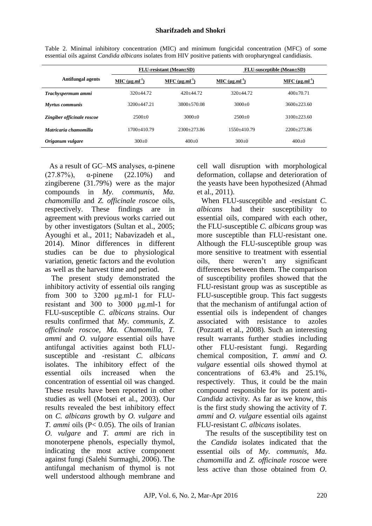|                            | <b>FLU-resistant</b> (Mean±SD) |                       | <b>FLU-susceptible (Mean</b> +SD) |                       |
|----------------------------|--------------------------------|-----------------------|-----------------------------------|-----------------------|
| Antifungal agents          | $MIC (µg.ml-1)$                | MFC $(\mu g.ml^{-1})$ | $MIC (µg.ml-1)$                   | MFC $(\mu g.ml^{-1})$ |
| Trachyspermum ammi         | $320+44.72$                    | $420+44.72$           | $320+44.72$                       | $400+70.71$           |
| <b>Myrtus</b> communis     | 3200+447.21                    | 3800+570.08           | $3000+0$                          | $3600+223.60$         |
| Zingiber officinale roscoe | $2500+0$                       | $3000+0$              | $2500+0$                          | $3100+223.60$         |
| Matricaria chamomilla      | 1700+410.79                    | $2300+273.86$         | 1550+410.79                       | $2200+273.86$         |
| Origanum vulgare           | $300+0$                        | $400+0$               | $300+0$                           | $400 \pm 0$           |

Table 2. Minimal inhibitory concentration (MIC) and minimum fungicidal concentration (MFC) of some essential oils against *Candida albicans* isolates from HIV positive patients with oropharyngeal candidiasis.

As a result of GC–MS analyses, α-pinene (27.87%), α-pinene (22.10%) and zingiberene (31.79%) were as the major compounds in *My. communis*, *Ma. chamomilla* and *Z. officinale roscoe* oils, respectively. These findings are in agreement with previous works carried out by other investigators (Sultan et al., 2005; Ayoughi et al., 2011; Nabavizadeh et al., 2014). Minor differences in different studies can be due to physiological variation, genetic factors and the evolution as well as the harvest time and period.

The present study demonstrated the inhibitory activity of essential oils ranging from 300 to 3200 μg.ml-1 for FLUresistant and 300 to 3000 μg.ml-1 for FLU-susceptible *C. albicans* strains. Our results confirmed that *My. communis, Z. officinale roscoe, Ma. Chamomilla, T. ammi* and *O. vulgare* essential oils have antifungal activities against both FLUsusceptible and -resistant *C. albicans* isolates. The inhibitory effect of the essential oils increased when the concentration of essential oil was changed. These results have been reported in other studies as well (Motsei et al., 2003). Our results revealed the best inhibitory effect on *C. albicans* growth by *O. vulgare* and *T. ammi* oils (P< 0.05). The oils of Iranian *O. vulgare* and *T. ammi* are rich in monoterpene phenols, especially thymol, indicating the most active component against fungi (Salehi Surmaghi, 2006). The antifungal mechanism of thymol is not well understood although membrane and cell wall disruption with morphological deformation, collapse and deterioration of the yeasts have been hypothesized (Ahmad et al., 2011).

When FLU-susceptible and -resistant *C. albicans* had their susceptibility to essential oils, compared with each other, the FLU-susceptible *C. albicans* group was more susceptible than FLU-resistant one. Although the FLU-susceptible group was more sensitive to treatment with essential oils, there weren't any significant differences between them. The comparison of susceptibility profiles showed that the FLU-resistant group was as susceptible as FLU-susceptible group. This fact suggests that the mechanism of antifungal action of essential oils is independent of changes associated with resistance to azoles (Pozzatti et al., 2008). Such an interesting result warrants further studies including other FLU-resistant fungi. Regarding chemical composition, *T. ammi* and *O. vulgare* essential oils showed thymol at concentrations of 63.4% and 25.1%, respectively. Thus, it could be the main compound responsible for its potent anti-*Candida* activity. As far as we know, this is the first study showing the activity of *T. ammi* and *O. vulgare* essential oils against FLU-resistant *C. albicans* isolates.

The results of the susceptibility test on the *Candida* isolates indicated that the essential oils of *My. communis, Ma. chamomilla* and *Z. officinale roscoe* were less active than those obtained from *O.*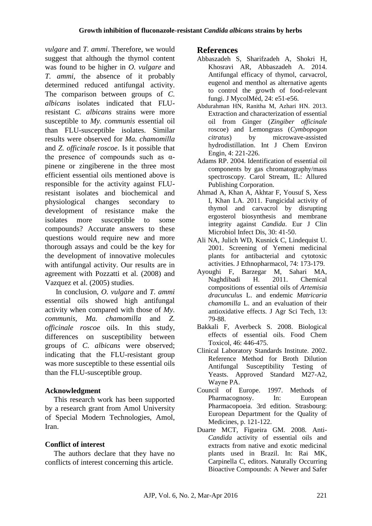*vulgare* and *T. ammi*. Therefore, we would suggest that although the thymol content was found to be higher in *O. vulgare* and *T. ammi*, the absence of it probably determined reduced antifungal activity. The comparison between groups of *C. albicans* isolates indicated that FLUresistant *C. albicans* strains were more susceptible to *My. communis* essential oil than FLU-susceptible isolates. Similar results were observed for *Ma. chamomilla* and *Z. officinale roscoe*. Is it possible that the presence of compounds such as  $\alpha$ pinene or zingiberene in the three most efficient essential oils mentioned above is responsible for the activity against FLUresistant isolates and biochemical and physiological changes secondary to development of resistance make the isolates more susceptible to some compounds? Accurate answers to these questions would require new and more thorough assays and could be the key for the development of innovative molecules with antifungal activity. Our results are in agreement with Pozzatti et al. (2008) and Vazquez et al. (2005) studies.

In conclusion, *O. vulgare* and *T. ammi* essential oils showed high antifungal activity when compared with those of *My. communis, Ma. chamomilla* and *Z. officinale roscoe* oils. In this study, differences on susceptibility between groups of *C. albicans* were observed; indicating that the FLU-resistant group was more susceptible to these essential oils than the FLU-susceptible group.

# **Acknowledgment**

This research work has been supported by a research grant from Amol University of Special Modern Technologies, Amol, Iran.

# **Conflict of interest**

The authors declare that they have no conflicts of interest concerning this article.

# **References**

- Abbaszadeh S, Sharifzadeh A, Shokri H, Khosravi AR, Abbaszadeh A. 2014. Antifungal efficacy of thymol, carvacrol, eugenol and menthol as alternative agents to control the growth of food-relevant fungi. J MycolMéd, 24: e51-e56.
- Abdurahman HN, Ranitha M, Azhari HN. 2013. Extraction and characterization of essential oil from Ginger (*Zingiber officinale* roscoe) and Lemongrass (*Cymbopogon citratus*) by microwave-assisted hydrodistillation. Int J Chem Environ Engin, 4: 221-226.
- Adams RP. 2004. Identification of essential oil components by gas chromatography/mass spectroscopy. Carol Stream, IL: Allured Publishing Corporation.
- Ahmad A, Khan A, Akhtar F, Yousuf S, Xess I, Khan LA. 2011. Fungicidal activity of thymol and carvacrol by disrupting ergosterol biosynthesis and membrane integrity against *Candida*. Eur J Clin Microbiol Infect Dis, 30: 41-50.
- Ali NA, Julich WD, Kusnick C, Lindequist U. 2001. Screening of Yemeni medicinal plants for antibacterial and cytotoxic activities. J Ethnopharmacol, 74: 173-179.
- Ayoughi F, Barzegar M, Sahari MA, Naghdibadi H. 2011. Chemical compositions of essential oils of *Artemisia dracunculus* L. and endemic *Matricaria chamomilla* L. and an evaluation of their antioxidative effects. J Agr Sci Tech, 13: 79-88.
- Bakkali F, Averbeck S. 2008. Biological effects of essential oils. Food Chem Toxicol, 46: 446-475.
- Clinical Laboratory Standards Institute. 2002. Reference Method for Broth Dilution Antifungal Susceptibility Testing of Yeasts. Approved Standard M27-A2, Wayne PA.
- Council of Europe. 1997. Methods of Pharmacognosy. In: European Pharmacopoeia. 3rd edition. Strasbourg: European Department for the Quality of Medicines, p. 121-122.
- Duarte MCT, Figueira GM. 2008. Anti-*Candida* activity of essential oils and extracts from native and exotic medicinal plants used in Brazil. In: Rai MK, Carpinella C, editors. Naturally Occurring Bioactive Compounds: A Newer and Safer